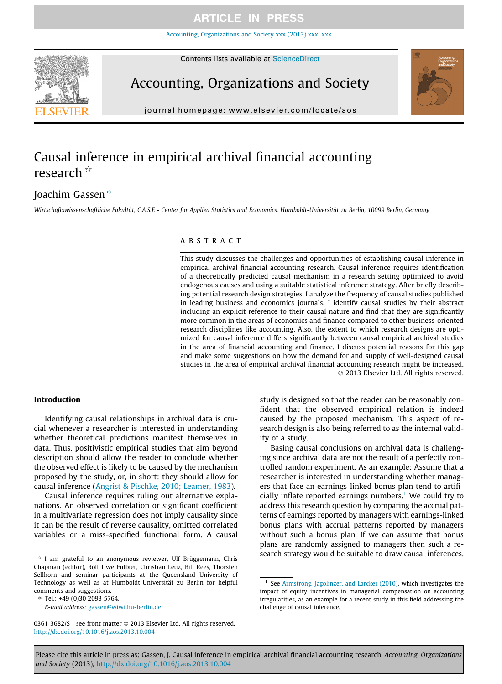### **ARTICLE IN PRESS**

[Accounting, Organizations and Society xxx \(2013\) xxx–xxx](http://dx.doi.org/10.1016/j.aos.2013.10.004)



Contents lists available at [ScienceDirect](http://www.sciencedirect.com/science/journal/03613682)

## Accounting, Organizations and Society



journal homepage: [www.elsevier.com/locate/aos](http://www.elsevier.com/locate/aos)

### Causal inference in empirical archival financial accounting research  $\mathbb{\hat{R}}$

### Joachim Gassen<sup>\*</sup>

Wirtschaftswissenschaftliche Fakultät, C.A.S.E - Center for Applied Statistics and Economics, Humboldt-Universität zu Berlin, 10099 Berlin, Germany

#### **ARSTRACT**

This study discusses the challenges and opportunities of establishing causal inference in empirical archival financial accounting research. Causal inference requires identification of a theoretically predicted causal mechanism in a research setting optimized to avoid endogenous causes and using a suitable statistical inference strategy. After briefly describing potential research design strategies, I analyze the frequency of causal studies published in leading business and economics journals. I identify causal studies by their abstract including an explicit reference to their causal nature and find that they are significantly more common in the areas of economics and finance compared to other business-oriented research disciplines like accounting. Also, the extent to which research designs are optimized for causal inference differs significantly between causal empirical archival studies in the area of financial accounting and finance. I discuss potential reasons for this gap and make some suggestions on how the demand for and supply of well-designed causal studies in the area of empirical archival financial accounting research might be increased. - 2013 Elsevier Ltd. All rights reserved.

#### Introduction

Identifying causal relationships in archival data is crucial whenever a researcher is interested in understanding whether theoretical predictions manifest themselves in data. Thus, positivistic empirical studies that aim beyond description should allow the reader to conclude whether the observed effect is likely to be caused by the mechanism proposed by the study, or, in short: they should allow for causal inference ([Angrist & Pischke, 2010; Leamer, 1983\)](#page--1-0).

Causal inference requires ruling out alternative explanations. An observed correlation or significant coefficient in a multivariate regression does not imply causality since it can be the result of reverse causality, omitted correlated variables or a miss-specified functional form. A causal

⇑ Tel.: +49 (0)30 2093 5764.

study is designed so that the reader can be reasonably confident that the observed empirical relation is indeed caused by the proposed mechanism. This aspect of research design is also being referred to as the internal validity of a study.

Basing causal conclusions on archival data is challenging since archival data are not the result of a perfectly controlled random experiment. As an example: Assume that a researcher is interested in understanding whether managers that face an earnings-linked bonus plan tend to artificially inflate reported earnings numbers.<sup>1</sup> We could try to address this research question by comparing the accrual patterns of earnings reported by managers with earnings-linked bonus plans with accrual patterns reported by managers without such a bonus plan. If we can assume that bonus plans are randomly assigned to managers then such a research strategy would be suitable to draw causal inferences.

Please cite this article in press as: Gassen, J. Causal inference in empirical archival financial accounting research. Accounting, Organizations and Society (2013), <http://dx.doi.org/10.1016/j.aos.2013.10.004>

 $*$  I am grateful to an anonymous reviewer, Ulf Brüggemann, Chris Chapman (editor), Rolf Uwe Fülbier, Christian Leuz, Bill Rees, Thorsten Sellhorn and seminar participants at the Queensland University of Technology as well as at Humboldt-Universität zu Berlin for helpful comments and suggestions.

E-mail address: [gassen@wiwi.hu-berlin.de](mailto:gassen@wiwi.hu-berlin.de)

<sup>0361-3682/\$ -</sup> see front matter © 2013 Elsevier Ltd. All rights reserved. <http://dx.doi.org/10.1016/j.aos.2013.10.004>

<sup>&</sup>lt;sup>1</sup> See [Armstrong, Jagolinzer, and Larcker \(2010\),](#page--1-0) which investigates the impact of equity incentives in managerial compensation on accounting irregularities, as an example for a recent study in this field addressing the challenge of causal inference.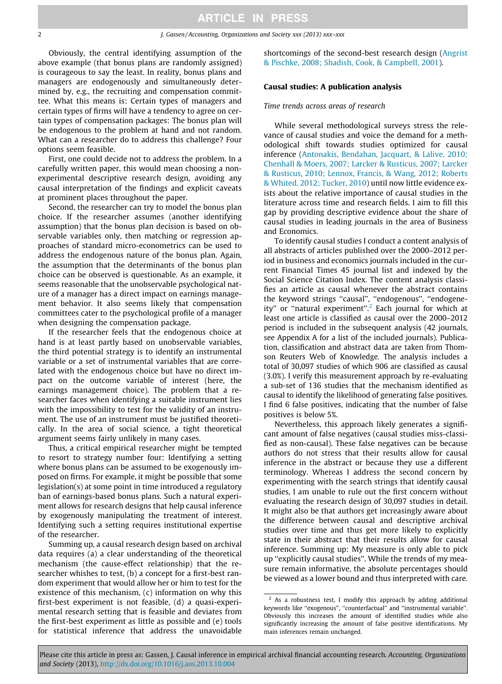Obviously, the central identifying assumption of the above example (that bonus plans are randomly assigned) is courageous to say the least. In reality, bonus plans and managers are endogenously and simultaneously determined by, e.g., the recruiting and compensation committee. What this means is: Certain types of managers and certain types of firms will have a tendency to agree on certain types of compensation packages: The bonus plan will be endogenous to the problem at hand and not random. What can a researcher do to address this challenge? Four options seem feasible.

First, one could decide not to address the problem. In a carefully written paper, this would mean choosing a nonexperimental descriptive research design, avoiding any causal interpretation of the findings and explicit caveats at prominent places throughout the paper.

Second, the researcher can try to model the bonus plan choice. If the researcher assumes (another identifying assumption) that the bonus plan decision is based on observable variables only, then matching or regression approaches of standard micro-econometrics can be used to address the endogenous nature of the bonus plan. Again, the assumption that the determinants of the bonus plan choice can be observed is questionable. As an example, it seems reasonable that the unobservable psychological nature of a manager has a direct impact on earnings management behavior. It also seems likely that compensation committees cater to the psychological profile of a manager when designing the compensation package.

If the researcher feels that the endogenous choice at hand is at least partly based on unobservable variables, the third potential strategy is to identify an instrumental variable or a set of instrumental variables that are correlated with the endogenous choice but have no direct impact on the outcome variable of interest (here, the earnings management choice). The problem that a researcher faces when identifying a suitable instrument lies with the impossibility to test for the validity of an instrument. The use of an instrument must be justified theoretically. In the area of social science, a tight theoretical argument seems fairly unlikely in many cases.

Thus, a critical empirical researcher might be tempted to resort to strategy number four: Identifying a setting where bonus plans can be assumed to be exogenously imposed on firms. For example, it might be possible that some legislation(s) at some point in time introduced a regulatory ban of earnings-based bonus plans. Such a natural experiment allows for research designs that help causal inference by exogenously manipulating the treatment of interest. Identifying such a setting requires institutional expertise of the researcher.

Summing up, a causal research design based on archival data requires (a) a clear understanding of the theoretical mechanism (the cause-effect relationship) that the researcher whishes to test, (b) a concept for a first-best random experiment that would allow her or him to test for the existence of this mechanism, (c) information on why this first-best experiment is not feasible, (d) a quasi-experimental research setting that is feasible and deviates from the first-best experiment as little as possible and (e) tools for statistical inference that address the unavoidable

shortcomings of the second-best research design [\(Angrist](#page--1-0) [& Pischke, 2008; Shadish, Cook, & Campbell, 2001](#page--1-0)).

#### Causal studies: A publication analysis

Time trends across areas of research

While several methodological surveys stress the relevance of causal studies and voice the demand for a methodological shift towards studies optimized for causal inference ([Antonakis, Bendahan, Jacquart, & Lalive, 2010;](#page--1-0) [Chenhall & Moers, 2007; Larcker & Rusticus, 2007; Larcker](#page--1-0) [& Rusticus, 2010; Lennox, Francis, & Wang, 2012; Roberts](#page--1-0) [& Whited, 2012; Tucker, 2010](#page--1-0)) until now little evidence exists about the relative importance of causal studies in the literature across time and research fields. I aim to fill this gap by providing descriptive evidence about the share of causal studies in leading journals in the area of Business and Economics.

To identify causal studies I conduct a content analysis of all abstracts of articles published over the 2000–2012 period in business and economics journals included in the current Financial Times 45 journal list and indexed by the Social Science Citation Index. The content analysis classifies an article as causal whenever the abstract contains the keyword strings ''causal'', ''endogenous'', ''endogeneity" or "natural experiment".<sup>2</sup> Each journal for which at least one article is classified as causal over the 2000–2012 period is included in the subsequent analysis (42 journals, see Appendix A for a list of the included journals). Publication, classification and abstract data are taken from Thomson Reuters Web of Knowledge. The analysis includes a total of 30,097 studies of which 906 are classified as causal (3.0%). I verify this measurement approach by re-evaluating a sub-set of 136 studies that the mechanism identified as causal to identify the likelihood of generating false positives. I find 6 false positives, indicating that the number of false positives is below 5%.

Nevertheless, this approach likely generates a significant amount of false negatives (causal studies miss-classified as non-causal). These false negatives can be because authors do not stress that their results allow for causal inference in the abstract or because they use a different terminology. Whereas I address the second concern by experimenting with the search strings that identify causal studies, I am unable to rule out the first concern without evaluating the research design of 30,097 studies in detail. It might also be that authors get increasingly aware about the difference between causal and descriptive archival studies over time and thus get more likely to explicitly state in their abstract that their results allow for causal inference. Summing up: My measure is only able to pick up ''explicitly causal studies''. While the trends of my measure remain informative, the absolute percentages should be viewed as a lower bound and thus interpreted with care.

Please cite this article in press as: Gassen, J. Causal inference in empirical archival financial accounting research. Accounting, Organizations and Society (2013), <http://dx.doi.org/10.1016/j.aos.2013.10.004>

<sup>2</sup> As a robustness test, I modify this approach by adding additional keywords like ''exogenous'', ''counterfactual'' and ''instrumental variable''. Obviously this increases the amount of identified studies while also significantly increasing the amount of false positive identifications. My main inferences remain unchanged.